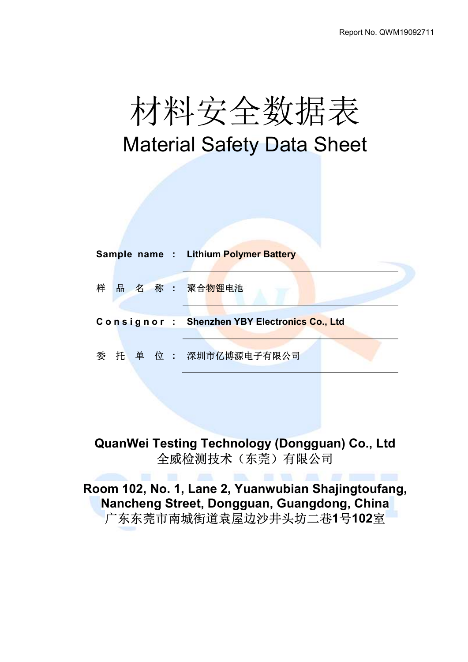# 材料安全数据表 Material Safety Data Sheet

|   |  |  | Sample name: Lithium Polymer Battery         |
|---|--|--|----------------------------------------------|
| 样 |  |  | 品 名 称 : 聚合物锂电池                               |
|   |  |  | Consignor: Shenzhen YBY Electronics Co., Ltd |
|   |  |  | 委 托 单 位 : 深圳市亿博源电子有限公司                       |

# QuanWei Testing Technology (Dongguan) Co., Ltd 全威检测技术(东莞)有限公司

Room 102, No. 1, Lane 2, Yuanwubian Shajingtoufang, Nancheng Street, Dongguan, Guangdong, China 广东东莞市南城街道袁屋边沙井头坊二巷1号102室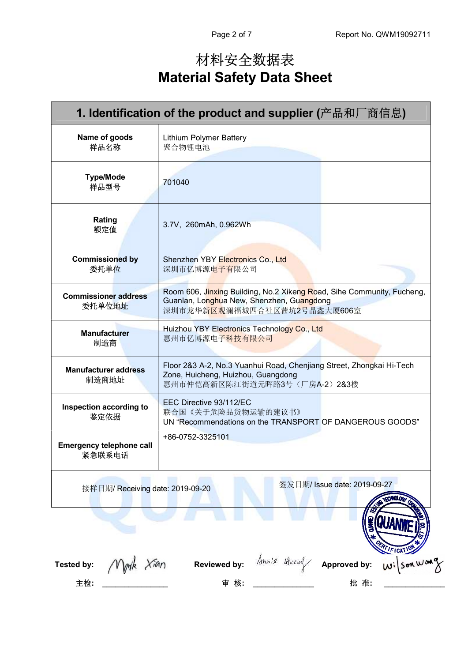# 材料安全数据表 Material Safety Data Sheet

| 1. Identification of the product and supplier (产品和厂商信息)          |                                                                                                                                                    |                 |  |  |
|------------------------------------------------------------------|----------------------------------------------------------------------------------------------------------------------------------------------------|-----------------|--|--|
| Name of goods<br>样品名称                                            | <b>Lithium Polymer Battery</b><br>聚合物锂电池                                                                                                           |                 |  |  |
| <b>Type/Mode</b><br>样品型号                                         | 701040                                                                                                                                             |                 |  |  |
| Rating<br>额定值                                                    | 3.7V, 260mAh, 0.962Wh                                                                                                                              |                 |  |  |
| <b>Commissioned by</b><br>委托单位                                   | Shenzhen YBY Electronics Co., Ltd<br>深圳市亿博源电子有限公司                                                                                                  |                 |  |  |
| <b>Commissioner address</b><br>委托单位地址                            | Room 606, Jinxing Building, No.2 Xikeng Road, Sihe Community, Fucheng,<br>Guanlan, Longhua New, Shenzhen, Guangdong<br>深圳市龙华新区观澜福城四合社区茜坑2号晶鑫大厦606室 |                 |  |  |
| <b>Manufacturer</b><br>制造商                                       | Huizhou YBY Electronics Technology Co., Ltd<br>惠州市亿博源电子科技有限公司                                                                                      |                 |  |  |
| <b>Manufacturer address</b><br>制造商地址                             | Floor 2&3 A-2, No.3 Yuanhui Road, Chenjiang Street, Zhongkai Hi-Tech<br>Zone, Huicheng, Huizhou, Guangdong<br>惠州市仲恺高新区陈江街道元晖路3号(厂房A-2) 2&3楼        |                 |  |  |
| Inspection according to<br>鉴定依据                                  | EEC Directive 93/112/EC<br>联合国《关于危险品货物运输的建议书》<br>UN "Recommendations on the TRANSPORT OF DANGEROUS GOODS"                                          |                 |  |  |
| <b>Emergency telephone call</b><br>紧急联系电话                        | +86-0752-3325101                                                                                                                                   |                 |  |  |
| 签发日期/ Issue date: 2019-09-27<br>接样日期/ Receiving date: 2019-09-20 |                                                                                                                                                    |                 |  |  |
|                                                                  |                                                                                                                                                    | <b>PTIFICAT</b> |  |  |
| Vlynk Xian<br>Tested by:                                         | Somie Arrang<br><b>Reviewed by:</b><br>Approved by:                                                                                                | Wilson Warg     |  |  |
| 主检:                                                              | 审 核:<br>批 准:                                                                                                                                       |                 |  |  |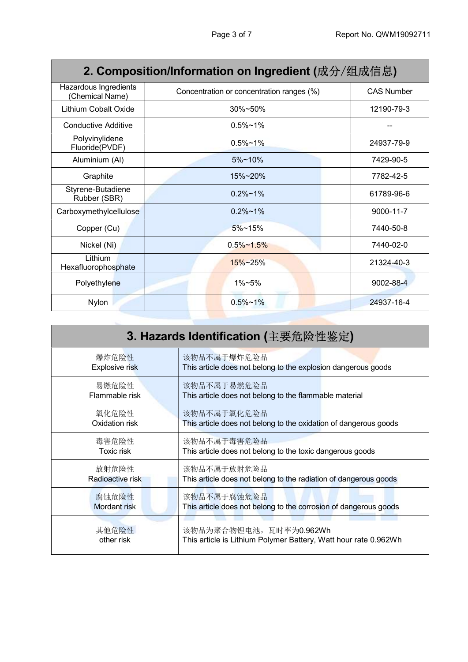| 2. Composition/Information on Ingredient (成分/组成信息) |                                           |                   |  |  |  |
|----------------------------------------------------|-------------------------------------------|-------------------|--|--|--|
| Hazardous Ingredients<br>(Chemical Name)           | Concentration or concentration ranges (%) | <b>CAS Number</b> |  |  |  |
| Lithium Cobalt Oxide                               | 30%~50%                                   | 12190-79-3        |  |  |  |
| Conductive Additive                                | $0.5%$ ~1%                                |                   |  |  |  |
| Polyvinylidene<br>Fluoride(PVDF)                   | $0.5\%$ ~1%                               | 24937-79-9        |  |  |  |
| Aluminium (AI)                                     | $5\%$ ~10%                                | 7429-90-5         |  |  |  |
| Graphite                                           | 15%~20%                                   | 7782-42-5         |  |  |  |
| Styrene-Butadiene<br>Rubber (SBR)                  | $0.2\% \sim 1\%$                          | 61789-96-6        |  |  |  |
| Carboxymethylcellulose                             | $0.2\% \sim 1\%$                          | 9000-11-7         |  |  |  |
| Copper (Cu)                                        | $5\%$ ~15%                                | 7440-50-8         |  |  |  |
| Nickel (Ni)                                        | $0.5\% \sim 1.5\%$                        | 7440-02-0         |  |  |  |
| Lithium<br>Hexafluorophosphate                     | $15\% - 25\%$                             | 21324-40-3        |  |  |  |
| Polyethylene                                       | $1\% - 5\%$                               | 9002-88-4         |  |  |  |
| Nylon                                              | $0.5\% \sim 1\%$                          | 24937-16-4        |  |  |  |

| 3. Hazards Identification (主要危险性鉴定) |                                                                  |  |  |  |
|-------------------------------------|------------------------------------------------------------------|--|--|--|
| 爆炸危险性                               | 该物品不属于爆炸危险品                                                      |  |  |  |
| <b>Explosive risk</b>               | This article does not belong to the explosion dangerous goods    |  |  |  |
| 易燃危险性                               | 该物品不属于易燃危险品                                                      |  |  |  |
| Flammable risk                      | This article does not belong to the flammable material           |  |  |  |
| 氧化危险性                               | 该物品不属于氧化危险品                                                      |  |  |  |
| Oxidation risk                      | This article does not belong to the oxidation of dangerous goods |  |  |  |
| 毒害危险性                               | 该物品不属于毒害危险品                                                      |  |  |  |
| <b>Toxic risk</b>                   | This article does not belong to the toxic dangerous goods        |  |  |  |
| 放射危险性                               | 该物品不属于放射危险品                                                      |  |  |  |
| Radioactive risk                    | This article does not belong to the radiation of dangerous goods |  |  |  |
| 腐蚀危险性                               | 该物品不属于腐蚀危险品                                                      |  |  |  |
| <b>Mordant</b> risk                 | This article does not belong to the corrosion of dangerous goods |  |  |  |
| 其他危险性                               | 该物品为聚合物锂电池, 瓦时率为0.962Wh                                          |  |  |  |
| other risk                          | This article is Lithium Polymer Battery, Watt hour rate 0.962Wh  |  |  |  |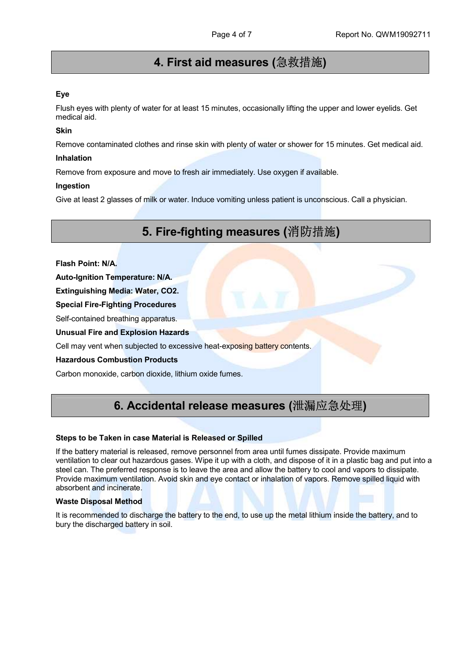# 4. First aid measures (急救措施)

#### Eye

Flush eyes with plenty of water for at least 15 minutes, occasionally lifting the upper and lower eyelids. Get medical aid.

#### Skin

Remove contaminated clothes and rinse skin with plenty of water or shower for 15 minutes. Get medical aid.

#### Inhalation

Remove from exposure and move to fresh air immediately. Use oxygen if available.

#### Ingestion

Give at least 2 glasses of milk or water. Induce vomiting unless patient is unconscious. Call a physician.

# 5. Fire-fighting measures (消防措施)

Flash Point: N/A.

Auto-Ignition Temperature: N/A.

Extinguishing Media: Water, CO2.

Special Fire-Fighting Procedures

Self-contained breathing apparatus.

Unusual Fire and Explosion Hazards

Cell may vent when subjected to excessive heat-exposing battery contents.

#### Hazardous Combustion Products

Carbon monoxide, carbon dioxide, lithium oxide fumes.

### 6. Accidental release measures (泄漏应急处理)

#### Steps to be Taken in case Material is Released or Spilled

If the battery material is released, remove personnel from area until fumes dissipate. Provide maximum ventilation to clear out hazardous gases. Wipe it up with a cloth, and dispose of it in a plastic bag and put into a steel can. The preferred response is to leave the area and allow the battery to cool and vapors to dissipate. Provide maximum ventilation. Avoid skin and eye contact or inhalation of vapors. Remove spilled liquid with absorbent and incinerate.

#### Waste Disposal Method

It is recommended to discharge the battery to the end, to use up the metal lithium inside the battery, and to bury the discharged battery in soil.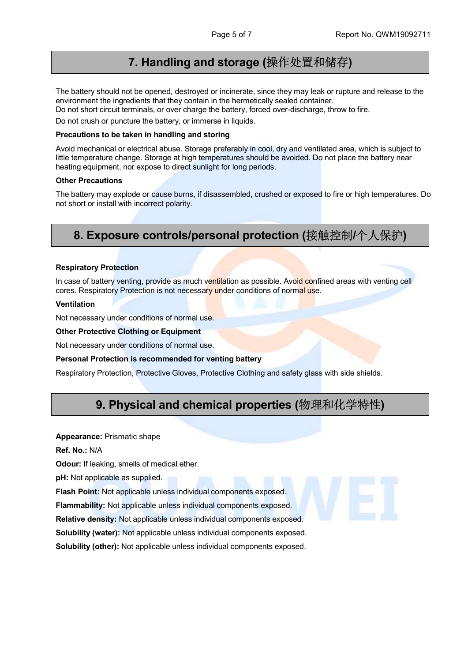### 7. Handling and storage (操作处置和储存)

The battery should not be opened, destroyed or incinerate, since they may leak or rupture and release to the environment the ingredients that they contain in the hermetically sealed container.

Do not short circuit terminals, or over charge the battery, forced over-discharge, throw to fire.

Do not crush or puncture the battery, or immerse in liquids.

#### Precautions to be taken in handling and storing

Avoid mechanical or electrical abuse. Storage preferably in cool, dry and ventilated area, which is subject to little temperature change. Storage at high temperatures should be avoided. Do not place the battery near heating equipment, nor expose to direct sunlight for long periods.

#### Other Precautions

The battery may explode or cause burns, if disassembled, crushed or exposed to fire or high temperatures. Do not short or install with incorrect polarity.

### 8. Exposure controls/personal protection (接触控制/个人保护)

#### Respiratory Protection

In case of battery venting, provide as much ventilation as possible. Avoid confined areas with venting cell cores. Respiratory Protection is not necessary under conditions of normal use.

#### Ventilation

Not necessary under conditions of normal use.

#### Other Protective Clothing or Equipment

Not necessary under conditions of normal use.

#### Personal Protection is recommended for venting battery

Respiratory Protection, Protective Gloves, Protective Clothing and safety glass with side shields.

### 9. Physical and chemical properties (物理和化学特性)

#### Appearance: Prismatic shape

Ref. No.: N/A

**Odour:** If leaking, smells of medical ether.

pH: Not applicable as supplied.

Flash Point: Not applicable unless individual components exposed.

Flammability: Not applicable unless individual components exposed.

Relative density: Not applicable unless individual components exposed.

Solubility (water): Not applicable unless individual components exposed.

Solubility (other): Not applicable unless individual components exposed.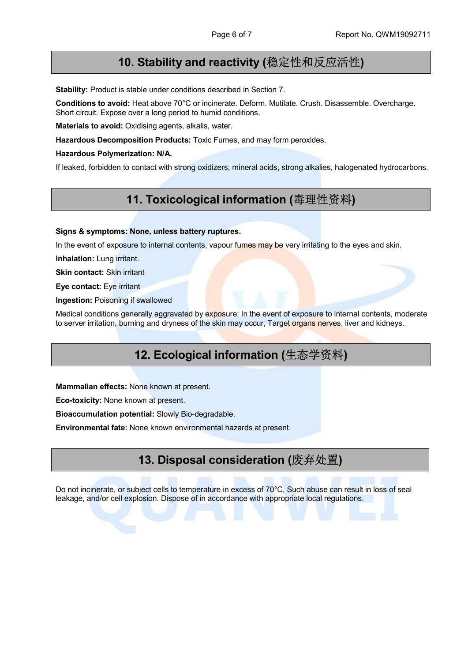### 10. Stability and reactivity (稳定性和反应活性)

Stability: Product is stable under conditions described in Section 7.

Conditions to avoid: Heat above 70°C or incinerate. Deform. Mutilate. Crush. Disassemble. Overcharge. Short circuit. Expose over a long period to humid conditions.

Materials to avoid: Oxidising agents, alkalis, water.

Hazardous Decomposition Products: Toxic Fumes, and may form peroxides.

Hazardous Polymerization: N/A.

If leaked, forbidden to contact with strong oxidizers, mineral acids, strong alkalies, halogenated hydrocarbons.

### 11. Toxicological information (毒理性资料)

#### Signs & symptoms: None, unless battery ruptures.

In the event of exposure to internal contents, vapour fumes may be very irritating to the eyes and skin.

Inhalation: Lung irritant.

Skin contact: Skin irritant

Eye contact: Eye irritant

Ingestion: Poisoning if swallowed

Medical conditions generally aggravated by exposure: In the event of exposure to internal contents, moderate to server irritation, burning and dryness of the skin may occur, Target organs nerves, liver and kidneys.

### 12. Ecological information (生态学资料)

Mammalian effects: None known at present.

Eco-toxicity: None known at present.

Bioaccumulation potential: Slowly Bio-degradable.

Environmental fate: None known environmental hazards at present.

### 13. Disposal consideration (废弃处置)

Do not incinerate, or subject cells to temperature in excess of 70°C, Such abuse can result in loss of seal leakage, and/or cell explosion. Dispose of in accordance with appropriate local regulations.